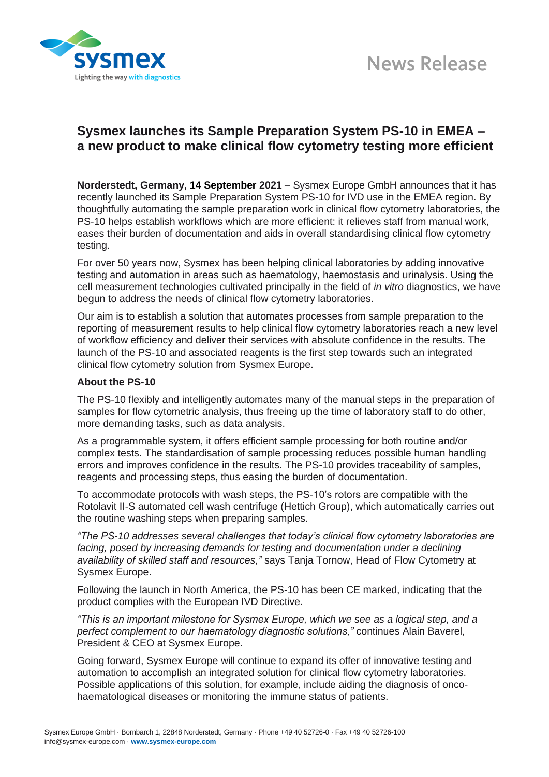



## **Sysmex launches its Sample Preparation System PS-10 in EMEA – a new product to make clinical flow cytometry testing more efficient**

**Norderstedt, Germany, 14 September 2021** – Sysmex Europe GmbH announces that it has recently launched its Sample Preparation System PS-10 for IVD use in the EMEA region. By thoughtfully automating the sample preparation work in clinical flow cytometry laboratories, the PS-10 helps establish workflows which are more efficient: it relieves staff from manual work, eases their burden of documentation and aids in overall standardising clinical flow cytometry testing.

For over 50 years now, Sysmex has been helping clinical laboratories by adding innovative testing and automation in areas such as haematology, haemostasis and urinalysis. Using the cell measurement technologies cultivated principally in the field of *in vitro* diagnostics, we have begun to address the needs of clinical flow cytometry laboratories.

Our aim is to establish a solution that automates processes from sample preparation to the reporting of measurement results to help clinical flow cytometry laboratories reach a new level of workflow efficiency and deliver their services with absolute confidence in the results. The launch of the PS-10 and associated reagents is the first step towards such an integrated clinical flow cytometry solution from Sysmex Europe.

## **About the PS-10**

The PS-10 flexibly and intelligently automates many of the manual steps in the preparation of samples for flow cytometric analysis, thus freeing up the time of laboratory staff to do other, more demanding tasks, such as data analysis.

As a programmable system, it offers efficient sample processing for both routine and/or complex tests. The standardisation of sample processing reduces possible human handling errors and improves confidence in the results. The PS-10 provides traceability of samples, reagents and processing steps, thus easing the burden of documentation.

To accommodate protocols with wash steps, the PS-10's rotors are compatible with the Rotolavit II-S automated cell wash centrifuge (Hettich Group), which automatically carries out the routine washing steps when preparing samples.

*"The PS-10 addresses several challenges that today's clinical flow cytometry laboratories are facing, posed by increasing demands for testing and documentation under a declining availability of skilled staff and resources,"* says Tanja Tornow, Head of Flow Cytometry at Sysmex Europe.

Following the launch in North America, the PS-10 has been CE marked, indicating that the product complies with the European IVD Directive.

*"This is an important milestone for Sysmex Europe, which we see as a logical step, and a perfect complement to our haematology diagnostic solutions,"* continues Alain Baverel, President & CEO at Sysmex Europe.

Going forward, Sysmex Europe will continue to expand its offer of innovative testing and automation to accomplish an integrated solution for clinical flow cytometry laboratories. Possible applications of this solution, for example, include aiding the diagnosis of oncohaematological diseases or monitoring the immune status of patients.